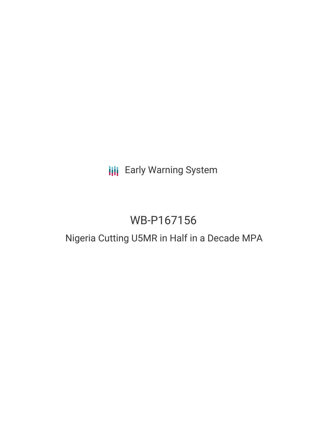# **III** Early Warning System

# WB-P167156

# Nigeria Cutting U5MR in Half in a Decade MPA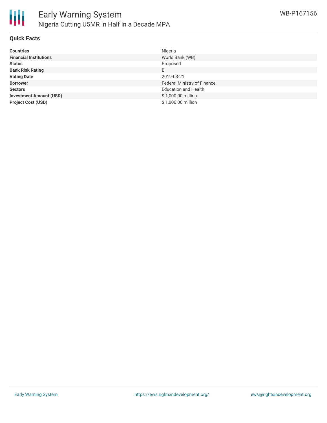

#### **Quick Facts**

| <b>Countries</b>               | Nigeria                     |
|--------------------------------|-----------------------------|
| <b>Financial Institutions</b>  | World Bank (WB)             |
| <b>Status</b>                  | Proposed                    |
| <b>Bank Risk Rating</b>        | B                           |
| <b>Voting Date</b>             | 2019-03-21                  |
| <b>Borrower</b>                | Federal Ministry of Finance |
| <b>Sectors</b>                 | <b>Education and Health</b> |
| <b>Investment Amount (USD)</b> | \$1,000.00 million          |
| <b>Project Cost (USD)</b>      | \$1,000.00 million          |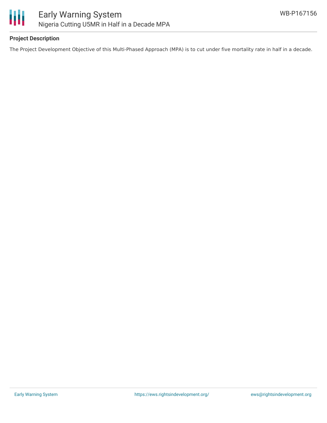

# **Project Description**

The Project Development Objective of this Multi-Phased Approach (MPA) is to cut under five mortality rate in half in a decade.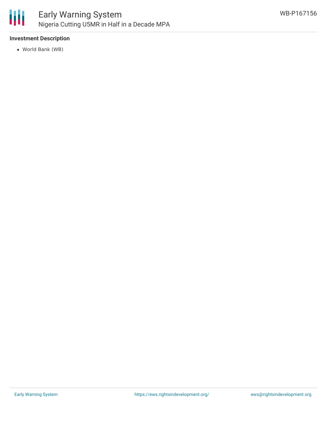

## **Investment Description**

World Bank (WB)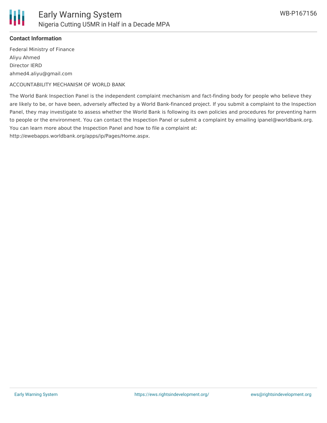

## **Contact Information**

Federal Ministry of Finance Aliyu Ahmed Director IERD ahmed4.aliyu@gmail.com

ACCOUNTABILITY MECHANISM OF WORLD BANK

The World Bank Inspection Panel is the independent complaint mechanism and fact-finding body for people who believe they are likely to be, or have been, adversely affected by a World Bank-financed project. If you submit a complaint to the Inspection Panel, they may investigate to assess whether the World Bank is following its own policies and procedures for preventing harm to people or the environment. You can contact the Inspection Panel or submit a complaint by emailing ipanel@worldbank.org. You can learn more about the Inspection Panel and how to file a complaint at:

http://ewebapps.worldbank.org/apps/ip/Pages/Home.aspx.